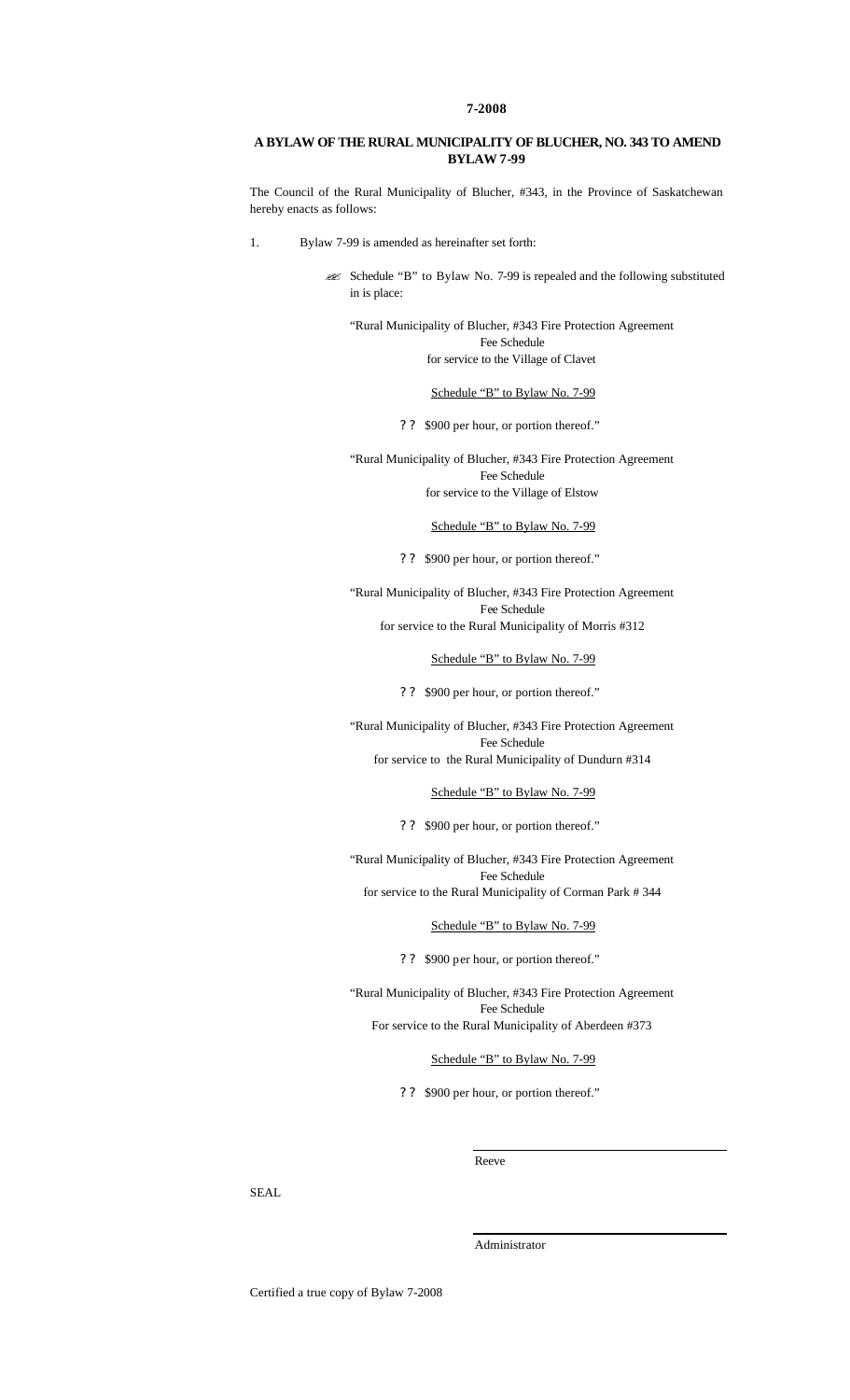### **7-2008**

# **A BYLAW OF THE RURAL MUNICIPALITY OF BLUCHER, NO. 343 TO AMEND BYLAW 7-99**

The Council of the Rural Municipality of Blucher, #343, in the Province of Saskatchewan hereby enacts as follows:

1. Bylaw 7-99 is amended as hereinafter set forth:

? Schedule "B" to Bylaw No. 7-99 is repealed and the following substituted in is place:

"Rural Municipality of Blucher, #343 Fire Protection Agreement Fee Schedule for service to the Village of Clavet

## Schedule "B" to Bylaw No. 7-99

? ? \$900 per hour, or portion thereof."

"Rural Municipality of Blucher, #343 Fire Protection Agreement Fee Schedule for service to the Village of Elstow

#### Schedule "B" to Bylaw No. 7-99

? ? \$900 per hour, or portion thereof."

"Rural Municipality of Blucher, #343 Fire Protection Agreement Fee Schedule for service to the Rural Municipality of Morris #312

#### Schedule "B" to Bylaw No. 7-99

? ? \$900 per hour, or portion thereof."

"Rural Municipality of Blucher, #343 Fire Protection Agreement Fee Schedule for service to the Rural Municipality of Dundurn #314

Schedule "B" to Bylaw No. 7-99

? ? \$900 per hour, or portion thereof."

"Rural Municipality of Blucher, #343 Fire Protection Agreement Fee Schedule

for service to the Rural Municipality of Corman Park # 344

Schedule "B" to Bylaw No. 7-99

? ? \$900 per hour, or portion thereof."

"Rural Municipality of Blucher, #343 Fire Protection Agreement Fee Schedule For service to the Rural Municipality of Aberdeen #373

Schedule "B" to Bylaw No. 7-99

? ? \$900 per hour, or portion thereof."

Reeve

SEAL.

Administrator